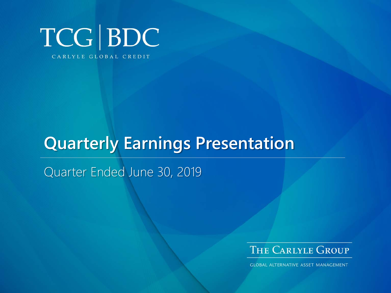

# **Quarterly Earnings Presentation**

Quarter Ended June 30, 2019



**GLOBAL ALTERNATIVE ASSET MANAGEMENT**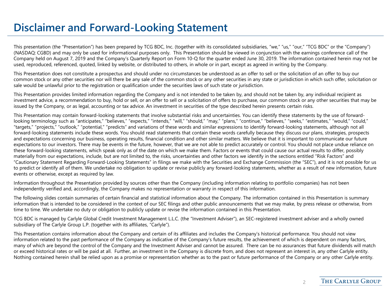#### **Disclaimer and Forward-Looking Statement**

This presentation (the "Presentation") has been prepared by TCG BDC, Inc. (together with its consolidated subsidiaries, "we," "us," "our," "TCG BDC" or the "Company") (NASDAQ: CGBD) and may only be used for informational purposes only. This Presentation should be viewed in conjunction with the earnings conference call of the Company held on August 7, 2019 and the Company's Quarterly Report on Form 10-Q for the quarter ended June 30, 2019. The information contained herein may not be used, reproduced, referenced, quoted, linked by website, or distributed to others, in whole or in part, except as agreed in writing by the Company.

This Presentation does not constitute a prospectus and should under no circumstances be understood as an offer to sell or the solicitation of an offer to buy our common stock or any other securities nor will there be any sale of the common stock or any other securities in any state or jurisdiction in which such offer, solicitation or sale would be unlawful prior to the registration or qualification under the securities laws of such state or jurisdiction.

This Presentation provides limited information regarding the Company and is not intended to be taken by, and should not be taken by, any individual recipient as investment advice, a recommendation to buy, hold or sell, or an offer to sell or a solicitation of offers to purchase, our common stock or any other securities that may be issued by the Company, or as legal, accounting or tax advice. An investment in securities of the type described herein presents certain risks.

This Presentation may contain forward-looking statements that involve substantial risks and uncertainties. You can identify these statements by the use of forwardlooking terminology such as "anticipates," "believes," "expects," "intends," "will," "should," "may," "plans," "continue," "believes," "seeks," "estimates," "would," "could," "targets," "projects," "outlook," "potential," "predicts" and variations of these words and similar expressions to identify forward-looking statements, although not all forward-looking statements include these words. You should read statements that contain these words carefully because they discuss our plans, strategies, prospects and expectations concerning our business, operating results, financial condition and other similar matters. We believe that it is important to communicate our future expectations to our investors. There may be events in the future, however, that we are not able to predict accurately or control. You should not place undue reliance on these forward-looking statements, which speak only as of the date on which we make them. Factors or events that could cause our actual results to differ, possibly materially from our expectations, include, but are not limited to, the risks, uncertainties and other factors we identify in the sections entitled "Risk Factors" and "Cautionary Statement Regarding Forward-Looking Statements" in filings we make with the Securities and Exchange Commission (the "SEC"), and it is not possible for us to predict or identify all of them. We undertake no obligation to update or revise publicly any forward-looking statements, whether as a result of new information, future events or otherwise, except as required by law.

Information throughout the Presentation provided by sources other than the Company (including information relating to portfolio companies) has not been independently verified and, accordingly, the Company makes no representation or warranty in respect of this information.

The following slides contain summaries of certain financial and statistical information about the Company. The information contained in this Presentation is summary information that is intended to be considered in the context of our SEC filings and other public announcements that we may make, by press release or otherwise, from time to time. We undertake no duty or obligation to publicly update or revise the information contained in this Presentation.

TCG BDC is managed by Carlyle Global Credit Investment Management L.L.C. (the "Investment Adviser"), an SEC-registered investment adviser and a wholly owned subsidiary of The Carlyle Group L.P. (together with its affiliates, "Carlyle").

This Presentation contains information about the Company and certain of its affiliates and includes the Company's historical performance. You should not view information related to the past performance of the Company as indicative of the Company's future results, the achievement of which is dependent on many factors, many of which are beyond the control of the Company and the Investment Adviser and cannot be assured. There can be no assurances that future dividends will match or exceed historical rates or will be paid at all. Further, an investment in the Company is discrete from, and does not represent an interest in, any other Carlyle entity. Nothing contained herein shall be relied upon as a promise or representation whether as to the past or future performance of the Company or any other Carlyle entity.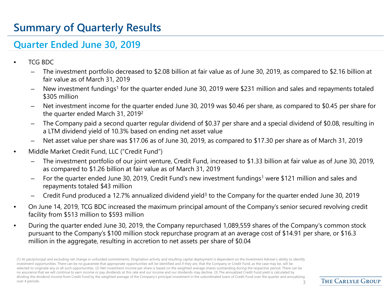# **Summary of Quarterly Results**

#### **Quarter Ended June 30, 2019**

- TCG BDC
	- The investment portfolio decreased to \$2.08 billion at fair value as of June 30, 2019, as compared to \$2.16 billion at fair value as of March 31, 2019
	- New investment fundings<sup>1</sup> for the quarter ended June 30, 2019 were \$231 million and sales and repayments totaled \$305 million
	- Net investment income for the quarter ended June 30, 2019 was \$0.46 per share, as compared to \$0.45 per share for the quarter ended March 31, 20192
	- The Company paid a second quarter regular dividend of \$0.37 per share and a special dividend of \$0.08, resulting in a LTM dividend yield of 10.3% based on ending net asset value
	- Net asset value per share was \$17.06 as of June 30, 2019, as compared to \$17.30 per share as of March 31, 2019
- Middle Market Credit Fund, LLC ("Credit Fund")
	- The investment portfolio of our joint venture, Credit Fund, increased to \$1.33 billion at fair value as of June 30, 2019, as compared to \$1.26 billion at fair value as of March 31, 2019
	- For the quarter ended June 30, 2019, Credit Fund's new investment fundings<sup>1</sup> were \$121 million and sales and repayments totaled \$43 million
	- Credit Fund produced a 12.7% annualized dividend yield3 to the Company for the quarter ended June 30, 2019
- On June 14, 2019, TCG BDC increased the maximum principal amount of the Company's senior secured revolving credit facility from \$513 million to \$593 million
- During the quarter ended June 30, 2019, the Company repurchased 1,089,559 shares of the Company's common stock pursuant to the Company's \$100 million stock repurchase program at an average cost of \$14.91 per share, or \$16.3 million in the aggregate, resulting in accretion to net assets per share of \$0.04

(1) At par/principal and excluding net change in unfunded commitments. Origination activity and resulting capital deployment is dependent on the Investment Adviser's ability to identify investment opportunities. There can be no guarantee that appropriate opportunities will be identified and if they are, that the Company or Credit Fund, as the case may be, will be selected to originate any or all such opportunities. (2) Net investment income per share is based on the weighted average shares outstanding during the respective period. There can be no assurance that we will continue to earn income or pay dividends at this rate and our income and our dividends may decline. (3) The annualized Credit Fund yield is calculated by dividing the dividend income from Credit Fund by the weighted average of the Company's principal investment in the subordinated loans of Credit Fund over the quarter and annualizing over 4 periods. 2002 and 2003 and 2004 and 2004 and 2004 and 2004 and 2004 and 2004 and 2004 and 2004 and 2004  $\geq$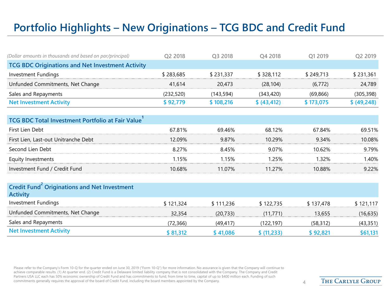# **Portfolio Highlights – New Originations – TCG BDC and Credit Fund**

| (Dollar amounts in thousands and based on par/principal) | O2 2018   | O <sub>3</sub> 2018 | O4 2018      | O1 2019   | Q <sub>2</sub> 2019 |  |  |  |  |
|----------------------------------------------------------|-----------|---------------------|--------------|-----------|---------------------|--|--|--|--|
| <b>TCG BDC Originations and Net Investment Activity</b>  |           |                     |              |           |                     |  |  |  |  |
| Investment Fundings                                      | \$283,685 | \$231,337           | \$328,112    | \$249.713 | \$231,361           |  |  |  |  |
| Unfunded Commitments, Net Change                         | 41.614    | 20,473              | (28.104)     | (6, 772)  | 24,789              |  |  |  |  |
| Sales and Repayments                                     | (232,520) | (143, 594)          | (343, 420)   | (69, 866) | (305, 398)          |  |  |  |  |
| <b>Net Investment Activity</b>                           | \$92,779  | \$108,216           | \$ (43, 412) | \$173,075 | \$ (49,248)         |  |  |  |  |

| <b>TCG BDC Total Investment Portfolio at Fair Value</b> |        |        |           |        |        |
|---------------------------------------------------------|--------|--------|-----------|--------|--------|
| First Lien Debt                                         | 67.81% | 69.46% | 68.12%    | 67.84% | 69.51% |
| First Lien, Last-out Unitranche Debt                    | 12.09% | 987%   | $10.29\%$ | 9.34%  | 10.08% |
| Second Lien Debt                                        | 8.27%  | 845%   | 9.07%     | 10 62% | 9.79%  |
| Equity Investments                                      | 1.15%  | 1 15%  | 25%       | 1 32%  | 40%    |
| Investment Fund / Credit Fund                           | 10.68% | 11 07% | 11 27%    | 10.88% | ዓ 22%  |

| Credit Fund Originations and Net Investment<br><b>Activity</b> |           |           |             |           |           |
|----------------------------------------------------------------|-----------|-----------|-------------|-----------|-----------|
| Investment Fundings                                            | \$121,324 | \$111,236 | \$122,735   | \$137,478 | \$121,117 |
| Unfunded Commitments, Net Change                               | 32.354    | (20, 733) | (11.771)    | 13,655    | (16, 635) |
| Sales and Repayments                                           | (72,366)  | (49, 417) | (122, 197)  | (58, 312) | (43, 351) |
| <b>Net Investment Activity</b>                                 | \$81,312  | \$41,086  | \$ (11,233) | \$92,821  | \$61,131  |

Please refer to the Company's Form 10-Q for the quarter ended on June 30, 2019 ("Form 10-Q") for more information. No assurance is given that the Company will continue to achieve comparable results. (1) At quarter end. (2) Credit Fund is a Delaware limited liability company that is not consolidated with the Company. The Company and Credit Partners USA LLC each has 50% economic ownership of Credit Fund and has commitments to fund, from time to time, capital of up to \$400 million each. Funding of such commitments generally requires the approval of the board of Credit Fund, including the board members appointed by the Company. 4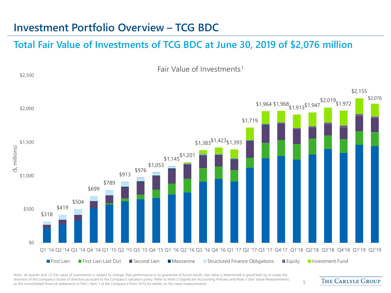#### **Investment Portfolio Overview – TCG BDC**

#### **Total Fair Value of Investments of TCG BDC at June 30, 2019 of \$2,076 million**



Note: At quarter end. (1) Fair value of investments is subject to change. Past performance is no quarantee of future results. Fair value is determined in good faith by or under the direction of the Company's board of directors pursuant to the Company's valuation policy. Refer to Note 2 (Significant Accounting Policies) and Note 3 (Fair Value Measurements) affection of the company's board of directors pursuant to the company's valuation policy. Refer to Note 2 (significant Accounting Policies) and Note 5 (Fair value measurements) 5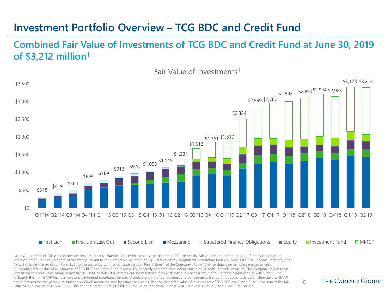#### **Investment Portfolio Overview – TCG BDC and Credit Fund**

#### **Combined Fair Value of Investments of TCG BDC and Credit Fund at June 30, 2019 of \$3,212 million1**

Fair Value of Investments1



Note: At quarter end. Fair value of investments is subject to change. Past performance is no guarantee of future results. Fair value is determined in good faith by or under the direction of the Company's board of directors pursuant to the Company's valuation policy. Refer to Note 2 (Significant Accounting Policies), Note 3 (Fair Value Measurements), and Note 5 (Middle Market Credit Fund, LLC) to the consolidated financial statements in Part 1, Item 1 of the Company's Form 10-Q for details on fair value measurements. (1) Combined fair value of investments of TCG BDC and Credit Fund is not a U.S. generally accepted accounting principles ("GAAP") financial measure. The Company believes that presenting this non-GAAP financial measure is useful because it illustrates our increased deal flow and portfolio size as a result of our strategic joint venture with Credit Fund. Although this non-GAAP financial measure is intended to enhance investors' understanding of our business and performance, it should not be considered an alternative to GAAP and it may not be comparable to similar non-GAAP measures used by other companies. The combined fair value of investments of TCG BDC and Credit Fund is the sum of the fair value of investments of TCG BDC (\$2.1 billion) and Credit Fund (\$1.3 billion), excluding the fair value of TCG BDC's investments in Credit Fund (\$191 million).

**THE CARLYLE GROUP**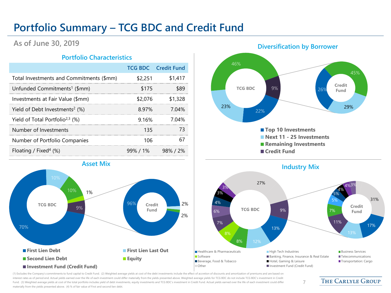### **Portfolio Summary – TCG BDC and Credit Fund**

#### **As of June 30, 2019**

#### **Portfolio Characteristics**

|                                               |         | <b>TCG BDC</b> Credit Fund |
|-----------------------------------------------|---------|----------------------------|
| Total Investments and Commitments (\$mm)      | \$2,251 | \$1,417                    |
| Unfunded Commitments <sup>1</sup> (\$mm)      | \$175   | \$89                       |
| Investments at Fair Value (\$mm)              | \$2,076 | \$1,328                    |
| Yield of Debt Investments <sup>2</sup> $(\%)$ | 897%    | 7 04%                      |
| Yield of Total Portfolio <sup>2,3</sup> (%)   | 9.16%   | 7.04%                      |
| Number of Investments                         | 135     | 73                         |
| Number of Portfolio Companies                 | 106     | 67                         |
| Floating / Fixed <sup>4</sup> (%)             |         | $99\%$ / 1% 98% / 2%       |









7

(1) Excludes the Company's commitments to fund capital to Credit Fund. (2) Weighted average yields at cost of the debt investments include the effect of accretion of discounts and amortization of premiums and are based on interest rates as of period end. Actual yields earned over the life of each investment could differ materially from the yields presented above. Weighted average yields for TCG BDC do not include TCG BDC's investment in Cre Fund. (3) Weighted average yields at cost of the total portfolio includes yield of debt investments, equity investments and TCG BDC's investment in Credit Fund. Actual yields earned over the life of each investment could d materially from the yields presented above. (4) % of fair value of First and second lien debt.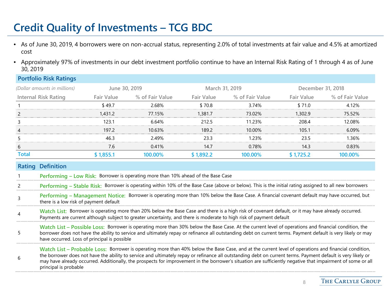# **Credit Quality of Investments – TCG BDC**

**Portfolio Risk Ratings**

- As of June 30, 2019, 4 borrowers were on non-accrual status, representing 2.0% of total investments at fair value and 4.5% at amortized cost
- Approximately 97% of investments in our debt investment portfolio continue to have an Internal Risk Rating of 1 through 4 as of June 30, 2019

|                                                                                                                                                                                                                                                                                                                                                                           | PUILIUIIU NISK NALIIIYS                                                                                                                                                                                                                                                                                                                                                                                                                                                                                      |                   |                                                                                   |                   |                                                                                                                                                        |                   |                 |  |  |
|---------------------------------------------------------------------------------------------------------------------------------------------------------------------------------------------------------------------------------------------------------------------------------------------------------------------------------------------------------------------------|--------------------------------------------------------------------------------------------------------------------------------------------------------------------------------------------------------------------------------------------------------------------------------------------------------------------------------------------------------------------------------------------------------------------------------------------------------------------------------------------------------------|-------------------|-----------------------------------------------------------------------------------|-------------------|--------------------------------------------------------------------------------------------------------------------------------------------------------|-------------------|-----------------|--|--|
|                                                                                                                                                                                                                                                                                                                                                                           | (Dollar amounts in millions)                                                                                                                                                                                                                                                                                                                                                                                                                                                                                 | June 30, 2019     |                                                                                   | March 31, 2019    |                                                                                                                                                        | December 31, 2018 |                 |  |  |
|                                                                                                                                                                                                                                                                                                                                                                           | Internal Risk Rating                                                                                                                                                                                                                                                                                                                                                                                                                                                                                         | <b>Fair Value</b> | % of Fair Value                                                                   | <b>Fair Value</b> | % of Fair Value                                                                                                                                        | <b>Fair Value</b> | % of Fair Value |  |  |
|                                                                                                                                                                                                                                                                                                                                                                           |                                                                                                                                                                                                                                                                                                                                                                                                                                                                                                              | \$49.7            | 2.68%                                                                             | \$70.8            | 3.74%                                                                                                                                                  | \$71.0            | 4.12%           |  |  |
| 2                                                                                                                                                                                                                                                                                                                                                                         |                                                                                                                                                                                                                                                                                                                                                                                                                                                                                                              | 1,431.2           | 77.15%                                                                            | 1,381.7           | 73.02%                                                                                                                                                 | 1,302.9           | 75.52%          |  |  |
| 3                                                                                                                                                                                                                                                                                                                                                                         |                                                                                                                                                                                                                                                                                                                                                                                                                                                                                                              | 123.1             | 6.64%                                                                             | 212.5             | 11.23%                                                                                                                                                 | 208.4             | 12.08%          |  |  |
| 4                                                                                                                                                                                                                                                                                                                                                                         |                                                                                                                                                                                                                                                                                                                                                                                                                                                                                                              | 197.2             | 10.63%                                                                            | 189.2             | 10.00%                                                                                                                                                 | 105.1             | 6.09%           |  |  |
|                                                                                                                                                                                                                                                                                                                                                                           |                                                                                                                                                                                                                                                                                                                                                                                                                                                                                                              | 46.3              | 2.49%                                                                             | 23.3              | 1.23%                                                                                                                                                  | 23.5              | 1.36%           |  |  |
| 6                                                                                                                                                                                                                                                                                                                                                                         |                                                                                                                                                                                                                                                                                                                                                                                                                                                                                                              | 7.6               | 0.41%                                                                             | 14.7              | 0.78%                                                                                                                                                  | 14.3              | 0.83%           |  |  |
| <b>Total</b>                                                                                                                                                                                                                                                                                                                                                              |                                                                                                                                                                                                                                                                                                                                                                                                                                                                                                              | \$1,855.1         | 100.00%                                                                           | \$1,892.2         | 100.00%                                                                                                                                                | \$1,725.2         | 100.00%         |  |  |
|                                                                                                                                                                                                                                                                                                                                                                           | <b>Rating Definition</b>                                                                                                                                                                                                                                                                                                                                                                                                                                                                                     |                   |                                                                                   |                   |                                                                                                                                                        |                   |                 |  |  |
|                                                                                                                                                                                                                                                                                                                                                                           |                                                                                                                                                                                                                                                                                                                                                                                                                                                                                                              |                   | Performing - Low Risk: Borrower is operating more than 10% ahead of the Base Case |                   |                                                                                                                                                        |                   |                 |  |  |
|                                                                                                                                                                                                                                                                                                                                                                           |                                                                                                                                                                                                                                                                                                                                                                                                                                                                                                              |                   |                                                                                   |                   | Performing - Stable Risk: Borrower is operating within 10% of the Base Case (above or below). This is the initial rating assigned to all new borrowers |                   |                 |  |  |
|                                                                                                                                                                                                                                                                                                                                                                           | there is a low risk of payment default                                                                                                                                                                                                                                                                                                                                                                                                                                                                       |                   |                                                                                   |                   | Performing - Management Notice: Borrower is operating more than 10% below the Base Case. A financial covenant default may have occurred, but           |                   |                 |  |  |
|                                                                                                                                                                                                                                                                                                                                                                           | Watch List: Borrower is operating more than 20% below the Base Case and there is a high risk of covenant default, or it may have already occurred.<br>Payments are current although subject to greater uncertainty, and there is moderate to high risk of payment default                                                                                                                                                                                                                                    |                   |                                                                                   |                   |                                                                                                                                                        |                   |                 |  |  |
| Watch List - Possible Loss: Borrower is operating more than 30% below the Base Case. At the current level of operations and financial condition, the<br>5<br>borrower does not have the ability to service and ultimately repay or refinance all outstanding debt on current terms. Payment default is very likely or may<br>have occurred. Loss of principal is possible |                                                                                                                                                                                                                                                                                                                                                                                                                                                                                                              |                   |                                                                                   |                   |                                                                                                                                                        |                   |                 |  |  |
| 6                                                                                                                                                                                                                                                                                                                                                                         | Watch List – Probable Loss: Borrower is operating more than 40% below the Base Case, and at the current level of operations and financial condition,<br>the borrower does not have the ability to service and ultimately repay or refinance all outstanding debt on current terms. Payment default is very likely or<br>may have already occurred. Additionally, the prospects for improvement in the borrower's situation are sufficiently negative that impairment of some or all<br>principal is probable |                   |                                                                                   |                   |                                                                                                                                                        |                   |                 |  |  |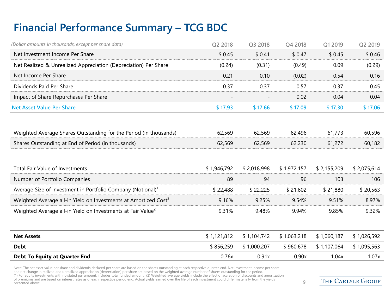# **Financial Performance Summary – TCG BDC**

| (Dollar amounts in thousands, except per share data)                        | Q2 2018     | Q3 2018     | Q4 2018     | Q1 2019     | Q2 2019     |
|-----------------------------------------------------------------------------|-------------|-------------|-------------|-------------|-------------|
| Net Investment Income Per Share                                             | \$0.45      | \$0.41      | \$0.47      | \$0.45      | \$0.46      |
| Net Realized & Unrealized Appreciation (Depreciation) Per Share             | (0.24)      | (0.31)      | (0.49)      | 0.09        | (0.29)      |
| Net Income Per Share                                                        | 0.21        | 0.10        | (0.02)      | 0.54        | 0.16        |
| Dividends Paid Per Share                                                    | 0.37        | 0.37        | 0.57        | 0.37        | 0.45        |
| Impact of Share Repurchases Per Share                                       |             |             | 0.02        | 0.04        | 0.04        |
| <b>Net Asset Value Per Share</b>                                            | \$17.93     | \$17.66     | \$17.09     | \$17.30     | \$17.06     |
| Weighted Average Shares Outstanding for the Period (in thousands)           | 62,569      | 62,569      | 62,496      | 61,773      | 60,596      |
| Shares Outstanding at End of Period (in thousands)                          | 62,569      | 62,569      | 62,230      | 61,272      | 60,182      |
|                                                                             |             |             |             |             |             |
| <b>Total Fair Value of Investments</b>                                      | \$1,946,792 | \$2,018,998 | \$1,972,157 | \$2,155,209 | \$2,075,614 |
| Number of Portfolio Companies                                               | 89          | 94          | 96          | 103         | 106         |
| Average Size of Investment in Portfolio Company (Notional) <sup>1</sup>     | \$22,488    | \$22,225    | \$21,602    | \$21,880    | \$20,563    |
| Weighted Average all-in Yield on Investments at Amortized Cost <sup>2</sup> | 9.16%       | 9.25%       | 9.54%       | 9.51%       | 8.97%       |
| Weighted Average all-in Yield on Investments at Fair Value <sup>2</sup>     | 9.31%       | 9.48%       | 9.94%       | 9.85%       | 9.32%       |
|                                                                             |             |             |             |             |             |
| <b>Net Assets</b>                                                           | \$1,121,812 | \$1,104,742 | \$1,063,218 | \$1,060,187 | \$1,026,592 |
| <b>Debt</b>                                                                 | \$856,259   | \$1,000,207 | \$960,678   | \$1,107,064 | \$1,095,563 |
| <b>Debt To Equity at Quarter End</b>                                        | 0.76x       | 0.91x       | 0.90x       | 1.04x       | 1.07x       |

Note: The net asset value per share and dividends declared per share are based on the shares outstanding at each respective quarter-end. Net investment income per share<br>and net change in realized and unrealized appreciatio of premiums and are based on interest rates as of each respective period end. Actual yields earned over the life of each investment could differ materially from the yields  $9\,$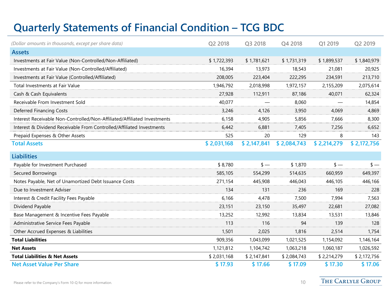# **Quarterly Statements of Financial Condition – TCG BDC**

| (Dollar amounts in thousands, except per share data)                     | Q2 2018     | Q3 2018     | Q4 2018     | Q1 2019     | Q2 2019     |
|--------------------------------------------------------------------------|-------------|-------------|-------------|-------------|-------------|
| <b>Assets</b>                                                            |             |             |             |             |             |
| Investments at Fair Value (Non-Controlled/Non-Affiliated)                | \$1,722,393 | \$1,781,621 | \$1,731,319 | \$1,899,537 | \$1,840,979 |
| Investments at Fair Value (Non-Controlled/Affiliated)                    | 16,394      | 13,973      | 18,543      | 21,081      | 20,925      |
| Investments at Fair Value (Controlled/Affiliated)                        | 208,005     | 223,404     | 222,295     | 234,591     | 213,710     |
| Total Investments at Fair Value                                          | 1,946,792   | 2,018,998   | 1,972,157   | 2,155,209   | 2,075,614   |
| Cash & Cash Equivalents                                                  | 27,928      | 112,911     | 87,186      | 40,071      | 62,324      |
| Receivable From Investment Sold                                          | 40,077      |             | 8,060       |             | 14,854      |
| Deferred Financing Costs                                                 | 3,246       | 4,126       | 3,950       | 4,069       | 4,869       |
| Interest Receivable Non-Controlled/Non-Affiliated/Affiliated Investments | 6,158       | 4,905       | 5,856       | 7,666       | 8,300       |
| Interest & Dividend Receivable From Controlled/Affiliated Investments    | 6,442       | 6,881       | 7.405       | 7,256       | 6,652       |
| Prepaid Expenses & Other Assets                                          | 525         | 20          | 129         | 8           | 143         |
| <b>Total Assets</b>                                                      | \$2,031,168 | \$2,147,841 | \$2,084,743 | \$2,214,279 | \$2,172,756 |
| <b>Liabilities</b>                                                       |             |             |             |             |             |
| Payable for Investment Purchased                                         | \$8,780     | $s -$       | \$1,870     | $s -$       | $s -$       |
| Secured Borrowings                                                       | 585,105     | 554,299     | 514,635     | 660,959     | 649,397     |
| Notes Payable, Net of Unamortized Debt Issuance Costs                    | 271,154     | 445,908     | 446,043     | 446,105     | 446,166     |
| Due to Investment Adviser                                                | 134         | 131         | 236         | 169         | 228         |
| Interest & Credit Facility Fees Payable                                  | 6,166       | 4,478       | 7,500       | 7,994       | 7,563       |
| Dividend Payable                                                         | 23,151      | 23,150      | 35,497      | 22,681      | 27,082      |
| Base Management & Incentive Fees Payable                                 | 13,252      | 12,992      | 13,834      | 13,531      | 13,846      |
| Administrative Service Fees Payable                                      | 113         | 116         | 94          | 139         | 128         |
| Other Accrued Expenses & Liabilities                                     | 1,501       | 2,025       | 1,816       | 2,514       | 1,754       |
| <b>Total Liabilities</b>                                                 | 909,356     | 1,043,099   | 1,021,525   | 1,154,092   | 1,146,164   |
| <b>Net Assets</b>                                                        | 1,121,812   | 1,104,742   | 1,063,218   | 1,060,187   | 1,026,592   |
| <b>Total Liabilities &amp; Net Assets</b>                                | \$2,031,168 | \$2,147,841 | \$2,084,743 | \$2,214,279 | \$2,172,756 |
| <b>Net Asset Value Per Share</b>                                         | \$17.93     | \$17.66     | \$17.09     | \$17.30     | \$17.06     |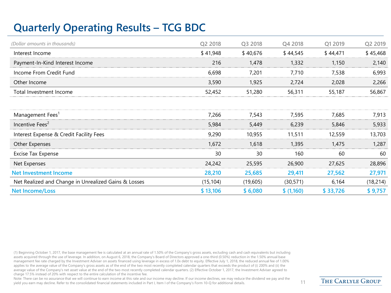# **Quarterly Operating Results – TCG BDC**

| (Dollar amounts in thousands)                        | Q2 2018   | Q3 2018  | Q4 2018    | Q1 2019  | Q2 2019   |
|------------------------------------------------------|-----------|----------|------------|----------|-----------|
| Interest Income                                      | \$41,948  | \$40,676 | \$44,545   | \$44,471 | \$45,468  |
| Payment-In-Kind Interest Income                      | 216       | 1,478    | 1,332      | 1,150    | 2,140     |
| Income From Credit Fund                              | 6,698     | 7,201    | 7,710      | 7,538    | 6,993     |
| Other Income                                         | 3,590     | 1,925    | 2,724      | 2,028    | 2,266     |
| Total Investment Income                              | 52,452    | 51,280   | 56,311     | 55,187   | 56,867    |
|                                                      |           |          |            |          |           |
| Management Fees <sup>1</sup>                         | 7,266     | 7,543    | 7,595      | 7.685    | 7,913     |
| Incentive Fees <sup>2</sup>                          | 5,984     | 5,449    | 6,239      | 5,846    | 5,933     |
| Interest Expense & Credit Facility Fees              | 9,290     | 10,955   | 11,511     | 12,559   | 13,703    |
| Other Expenses                                       | 1,672     | 1,618    | 1,395      | 1,475    | 1,287     |
| Excise Tax Expense                                   | 30        | 30       | 160        | 60       | 60        |
| Net Expenses                                         | 24,242    | 25,595   | 26,900     | 27,625   | 28,896    |
| <b>Net Investment Income</b>                         | 28,210    | 25,685   | 29,411     | 27,562   | 27,971    |
| Net Realized and Change in Unrealized Gains & Losses | (15, 104) | (19,605) | (30, 571)  | 6,164    | (18, 214) |
| <b>Net Income/Loss</b>                               | \$13,106  | \$6,080  | \$ (1,160) | \$33,726 | \$9,757   |

(1) Beginning October 1, 2017, the base management fee is calculated at an annual rate of 1.50% of the Company's gross assets, excluding cash and cash equivalents but including assets acquired through the use of leverage. In addition, on August 6, 2018, the Company's Board of Directors approved a one-third (0.50%) reduction in the 1.50% annual base management fee rate charged by the Investment Adviser on assets financed using leverage in excess of 1.0x debt to equity. Effective July 1, 2018, the reduced annual fee of 1.00% applies to the average value of the Company's gross assets as of the end of the two most recently completed calendar quarters that exceeds the product of (i) 200% and (ii) the average value of the Company's net asset value at the end of the two most recently completed calendar quarters. (2) Effective October 1, 2017, the Investment Adviser agreed to charge 17.5% instead of 20% with respect to the entire calculation of the incentive fee.

Note: There can be no assurance that we will continue to earn income at this rate and our income may decline. If our income declines, we may reduce the dividend we pay and the yield you earn may decline. Refer to the consolidated financial statements included in Part I, Item I of the Company's Form 10-Q for additional details. 11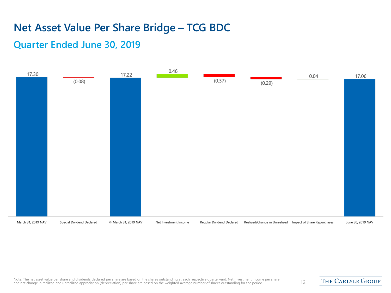#### **Net Asset Value Per Share Bridge – TCG BDC**

#### **Quarter Ended June 30, 2019**

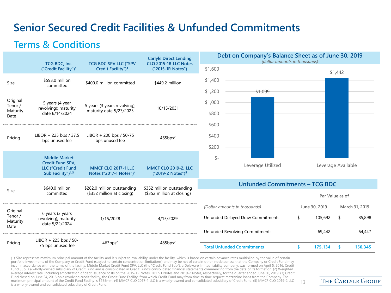### **Senior Secured Credit Facilities & Unfunded Commitments**

#### **Terms & Conditions**

|                                 | TCG BDC, Inc.                                                                                                | <b>TCG BDC SPV LLC ("SPV</b>                                      | <b>Carlyle Direct Lending</b><br>CLO 2015-1R LLC Notes       |                               | Debt on Company's Balance Sheet as of June 30, 2019<br>(dollar amounts in thousands) |               |                    |                 |                |
|---------------------------------|--------------------------------------------------------------------------------------------------------------|-------------------------------------------------------------------|--------------------------------------------------------------|-------------------------------|--------------------------------------------------------------------------------------|---------------|--------------------|-----------------|----------------|
|                                 | ("Credit Facility") <sup>1</sup>                                                                             | Credit Facility") <sup>1</sup>                                    | ("2015-1R Notes")                                            | \$1,600                       |                                                                                      |               |                    | \$1,442         |                |
| Size                            | \$593.0 million<br>committed                                                                                 | \$400.0 million committed                                         | \$449.2 million                                              | \$1,400                       |                                                                                      |               |                    |                 |                |
| Original<br>Tenor /<br>Maturity | 5 years (4 year<br>revolving); maturity                                                                      | 5 years (3 years revolving);<br>maturity date 5/23/2023           | 10/15/2031                                                   | \$1,200<br>\$1,000            | \$1,099                                                                              |               |                    |                 |                |
| Date                            | date 6/14/2024                                                                                               |                                                                   | \$800<br>\$600                                               |                               |                                                                                      |               |                    |                 |                |
| Pricing                         | LIBOR + 225 bps / 37.5<br>bps unused fee                                                                     | LIBOR + 200 bps / 50-75<br>bps unused fee                         | 465bps <sup>2</sup>                                          | \$400                         |                                                                                      |               |                    |                 |                |
|                                 |                                                                                                              |                                                                   |                                                              | \$200                         |                                                                                      |               |                    |                 |                |
|                                 | <b>Middle Market</b><br><b>Credit Fund SPV,</b><br><b>LLC</b> ("Credit Fund<br>Sub Facility") <sup>1,3</sup> | <b>MMCF CLO 2017-1 LLC</b><br>Notes ("2017-1 Notes") <sup>4</sup> | <b>MMCF CLO 2019-2, LLC</b><br>("2019-2 Notes") <sup>5</sup> | \$-                           | Leverage Utilized                                                                    |               | Leverage Available |                 |                |
|                                 | \$640.0 million                                                                                              | \$282.0 million outstanding                                       | \$352 million outstanding                                    |                               | <b>Unfunded Commitments - TCG BDC</b>                                                |               |                    |                 |                |
| Size                            | committed                                                                                                    | (\$352 million at closing)                                        | (\$352 million at closing)                                   |                               |                                                                                      |               |                    | Par Value as of |                |
| Original                        |                                                                                                              |                                                                   |                                                              | (Dollar amounts in thousands) |                                                                                      | June 30, 2019 |                    |                 | March 31, 2019 |
| Tenor /<br>Maturity<br>Date     | 6 years (3 years<br>revolving); maturity<br>date 5/22/2024                                                   | 1/15/2028                                                         | 4/15/2029                                                    |                               | Unfunded Delayed Draw Commitments                                                    | \$            | 105,692            | \$              | 85,898         |
|                                 |                                                                                                              |                                                                   |                                                              |                               | <b>Unfunded Revolving Commitments</b>                                                |               | 69,442             |                 | 64,447         |
| Pricing                         | $LIBOR + 225$ bps / 50-<br>75 bps unused fee                                                                 | 463bps <sup>2</sup>                                               | $485$ bps <sup>2</sup>                                       |                               | <b>Total Unfunded Commitments</b>                                                    | \$.           | 175,134            | -\$             | 150,345        |

(1) Size represents maximum principal amount of the facility and is subject to availability under the facility, which is based on certain advance rates multiplied by the value of certain<br>portfolio investments of the Compan incur in accordance with the terms of the facility. Middle Market Credit Fund SPV, LLC (the "Credit Fund Sub"), a Delaware limited liability company, was formed on April 5, 2016. Credit<br>Fund Sub is a wholly-owned subsidiar Fund closed on June 24, 2016 on a revolving credit facility, the Credit Fund Facility, from which Credit Fund may from time to time request mezzanine loans from the Company. The maximum principal amount of the Credit Fund Facility is \$175mm. (4) MMCF CLO 2017-1 LLC is a wholly-owned and consolidated subsidiary of Credit Fund. (5) MMCF CLO 2019-2 LLC 13<br>is a wholly-owned and consolidated subsidiary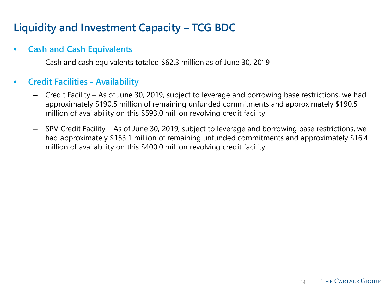# **Liquidity and Investment Capacity – TCG BDC**

#### • **Cash and Cash Equivalents**

– Cash and cash equivalents totaled \$62.3 million as of June 30, 2019

#### • **Credit Facilities - Availability**

- Credit Facility As of June 30, 2019, subject to leverage and borrowing base restrictions, we had approximately \$190.5 million of remaining unfunded commitments and approximately \$190.5 million of availability on this \$593.0 million revolving credit facility
- SPV Credit Facility As of June 30, 2019, subject to leverage and borrowing base restrictions, we had approximately \$153.1 million of remaining unfunded commitments and approximately \$16.4 million of availability on this \$400.0 million revolving credit facility